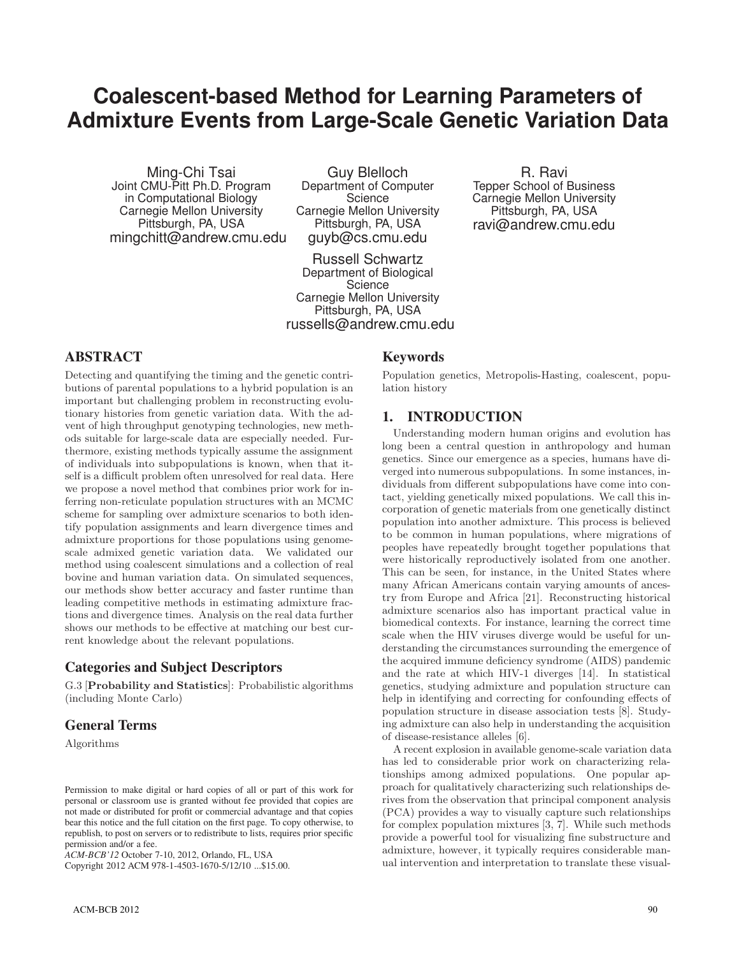# **Coalescent-based Method for Learning Parameters of Admixture Events from Large-Scale Genetic Variation Data**

Ming-Chi Tsai Joint CMU-Pitt Ph.D. Program in Computational Biology Carnegie Mellon University Pittsburgh, PA, USA mingchitt@andrew.cmu.edu

**Guy Blelloch** Department of Computer Science **Carnegie Mellon University** Pittsburgh, PA, USA guyb@cs.cmu.edu

**Russell Schwartz** Department of Biological Science **Carnegie Mellon University** Pittsburgh, PA, USA russells@andrew.cmu.edu

R. Ravi **Tepper School of Business** Carnegie Mellon University Pittsburgh, PA, USA ravi@andrew.cmu.edu

## **ABSTRACT**

Detecting and quantifying the timing and the genetic contributions of parental populations to a hybrid population is an important but challenging problem in reconstructing evolutionary histories from genetic variation data. With the advent of high throughput genotyping technologies, new methods suitable for large-scale data are especially needed. Furthermore, existing methods typically assume the assignment of individuals into subpopulations is known, when that itself is a difficult problem often unresolved for real data. Here we propose a novel method that combines prior work for inferring non-reticulate population structures with an MCMC scheme for sampling over admixture scenarios to both identify population assignments and learn divergence times and admixture proportions for those populations using genomescale admixed genetic variation data. We validated our method using coalescent simulations and a collection of real bovine and human variation data. On simulated sequences, our methods show better accuracy and faster runtime than leading competitive methods in estimating admixture fractions and divergence times. Analysis on the real data further shows our methods to be effective at matching our best current knowledge about the relevant populations.

### **Categories and Subject Descriptors**

G.3 [Probability and Statistics]: Probabilistic algorithms (including Monte Carlo)

### **General Terms**

Algorithms

Copyright 2012 ACM 978-1-4503-1670-5/12/10 ... \$15.00.

### **Kevwords**

Population genetics, Metropolis-Hasting, coalescent, population history

#### **INTRODUCTION** 1.

Understanding modern human origins and evolution has long been a central question in anthropology and human genetics. Since our emergence as a species, humans have diverged into numerous subpopulations. In some instances, individuals from different subpopulations have come into contact, yielding genetically mixed populations. We call this incorporation of genetic materials from one genetically distinct population into another admixture. This process is believed to be common in human populations, where migrations of peoples have repeatedly brought together populations that were historically reproductively isolated from one another. This can be seen, for instance, in the United States where many African Americans contain varying amounts of ancestry from Europe and Africa [21]. Reconstructing historical admixture scenarios also has important practical value in biomedical contexts. For instance, learning the correct time scale when the HIV viruses diverge would be useful for understanding the circumstances surrounding the emergence of the acquired immune deficiency syndrome (AIDS) pandemic and the rate at which HIV-1 diverges [14]. In statistical genetics, studying admixture and population structure can help in identifying and correcting for confounding effects of population structure in disease association tests [8]. Studying admixture can also help in understanding the acquisition of disease-resistance alleles [6].

A recent explosion in available genome-scale variation data has led to considerable prior work on characterizing relationships among admixed populations. One popular approach for qualitatively characterizing such relationships derives from the observation that principal component analysis (PCA) provides a way to visually capture such relationships for complex population mixtures  $[3, 7]$ . While such methods provide a powerful tool for visualizing fine substructure and admixture, however, it typically requires considerable manual intervention and interpretation to translate these visual-

Permission to make digital or hard copies of all or part of this work for personal or classroom use is granted without fee provided that copies are not made or distributed for profit or commercial advantage and that copies bear this notice and the full citation on the first page. To copy otherwise, to republish, to post on servers or to redistribute to lists, requires prior specific permission and/or a fee.

ACM-BCB'12 October 7-10, 2012, Orlando, FL, USA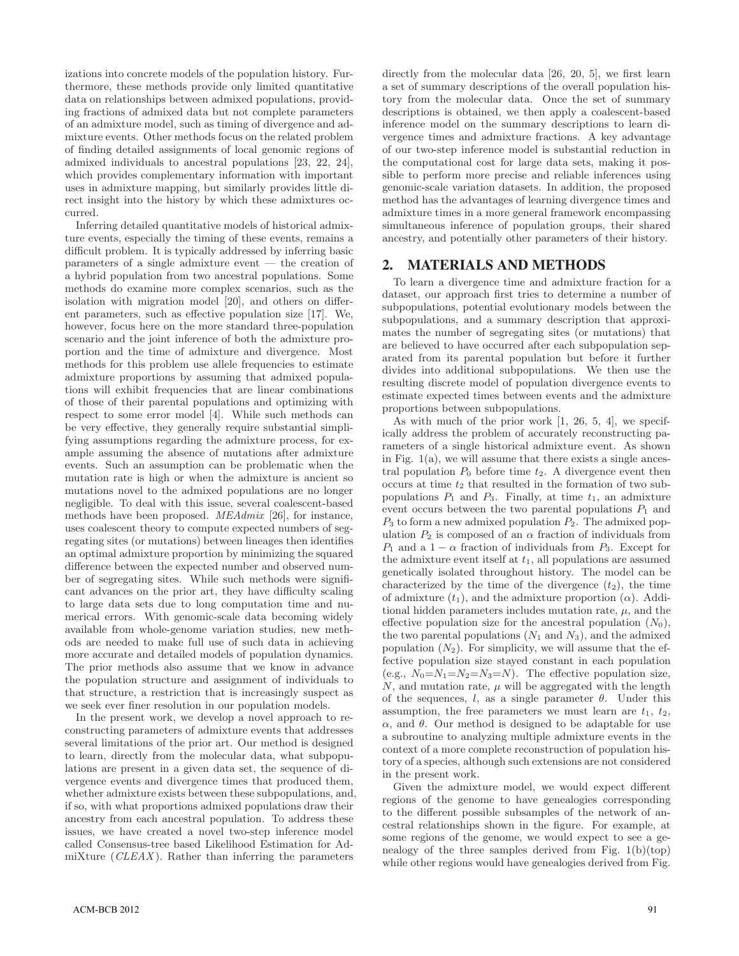izations into concrete models of the population history. Furthermore, these methods provide only limited quantitative data on relationships between admixed populations, providing fractions of admixed data but not complete parameters of an admixture model, such as timing of divergence and admixture events. Other methods focus on the related problem of finding detailed assignments of local genomic regions of admixed individuals to ancestral populations [23, 22, 24]. which provides complementary information with important uses in admixture mapping, but similarly provides little direct insight into the history by which these admixtures occurred.

Inferring detailed quantitative models of historical admixture events, especially the timing of these events, remains a difficult problem. It is typically addressed by inferring basic parameters of a single admixture event  $-$  the creation of a hybrid population from two ancestral populations. Some methods do examine more complex scenarios, such as the isolation with migration model [20], and others on different parameters, such as effective population size [17]. We, however, focus here on the more standard three-population scenario and the joint inference of both the admixture proportion and the time of admixture and divergence. Most methods for this problem use allele frequencies to estimate admixture proportions by assuming that admixed populations will exhibit frequencies that are linear combinations of those of their parental populations and optimizing with respect to some error model [4]. While such methods can be very effective, they generally require substantial simplifying assumptions regarding the admixture process, for example assuming the absence of mutations after admixture events. Such an assumption can be problematic when the mutation rate is high or when the admixture is ancient so mutations novel to the admixed populations are no longer negligible. To deal with this issue, several coalescent-based methods have been proposed. MEAdmix [26], for instance, uses coalescent theory to compute expected numbers of segregating sites (or mutations) between lineages then identifies an optimal admixture proportion by minimizing the squared difference between the expected number and observed number of segregating sites. While such methods were significant advances on the prior art, they have difficulty scaling to large data sets due to long computation time and numerical errors. With genomic-scale data becoming widely available from whole-genome variation studies, new methods are needed to make full use of such data in achieving more accurate and detailed models of population dynamics. The prior methods also assume that we know in advance the population structure and assignment of individuals to that structure, a restriction that is increasingly suspect as we seek ever finer resolution in our population models.

In the present work, we develop a novel approach to reconstructing parameters of admixture events that addresses several limitations of the prior art. Our method is designed to learn, directly from the molecular data, what subpopulations are present in a given data set, the sequence of divergence events and divergence times that produced them, whether admixture exists between these subpopulations, and, if so, with what proportions admixed populations draw their ancestry from each ancestral population. To address these issues, we have created a novel two-step inference model called Consensus-tree based Likelihood Estimation for AdmiXture ( $CLEAX$ ). Rather than inferring the parameters

directly from the molecular data  $[26, 20, 5]$ , we first learn a set of summary descriptions of the overall population history from the molecular data. Once the set of summary descriptions is obtained, we then apply a coalescent-based inference model on the summary descriptions to learn divergence times and admixture fractions. A key advantage of our two-step inference model is substantial reduction in the computational cost for large data sets, making it possible to perform more precise and reliable inferences using genomic-scale variation datasets. In addition, the proposed method has the advantages of learning divergence times and admixture times in a more general framework encompassing simultaneous inference of population groups, their shared ancestry, and potentially other parameters of their history.

#### **MATERIALS AND METHODS**  $2.$

To learn a divergence time and admixture fraction for a dataset, our approach first tries to determine a number of subpopulations, potential evolutionary models between the subpopulations, and a summary description that approximates the number of segregating sites (or mutations) that are believed to have occurred after each subpopulation separated from its parental population but before it further divides into additional subpopulations. We then use the resulting discrete model of population divergence events to estimate expected times between events and the admixture proportions between subpopulations.

As with much of the prior work  $[1, 26, 5, 4]$ , we specifically address the problem of accurately reconstructing parameters of a single historical admixture event. As shown in Fig.  $1(a)$ , we will assume that there exists a single ancestral population  $P_0$  before time  $t_2$ . A divergence event then occurs at time  $t_2$  that resulted in the formation of two subpopulations  $P_1$  and  $P_3$ . Finally, at time  $t_1$ , an admixture event occurs between the two parental populations  $P_1$  and  $P_3$  to form a new admixed population  $P_2$ . The admixed population  $P_2$  is composed of an  $\alpha$  fraction of individuals from  $P_1$  and a  $1-\alpha$  fraction of individuals from  $P_3$ . Except for the admixture event itself at  $t_1$ , all populations are assumed genetically isolated throughout history. The model can be characterized by the time of the divergence  $(t_2)$ , the time of admixture  $(t_1)$ , and the admixture proportion  $(\alpha)$ . Additional hidden parameters includes mutation rate,  $\mu$ , and the effective population size for the ancestral population  $(N_0)$ , the two parental populations  $(N_1 \text{ and } N_3)$ , and the admixed population  $(N_2)$ . For simplicity, we will assume that the effective population size stayed constant in each population (e.g.,  $N_0 = N_1 = N_2 = N_3 = N$ ). The effective population size,  $N$ , and mutation rate,  $\mu$  will be aggregated with the length of the sequences,  $l$ , as a single parameter  $\theta$ . Under this assumption, the free parameters we must learn are  $t_1$ ,  $t_2$ ,  $\alpha$ , and  $\theta$ . Our method is designed to be adaptable for use a subroutine to analyzing multiple admixture events in the context of a more complete reconstruction of population history of a species, although such extensions are not considered in the present work.

Given the admixture model, we would expect different regions of the genome to have genealogies corresponding to the different possible subsamples of the network of ancestral relationships shown in the figure. For example, at some regions of the genome, we would expect to see a genealogy of the three samples derived from Fig.  $1(b)(top)$ while other regions would have genealogies derived from Fig.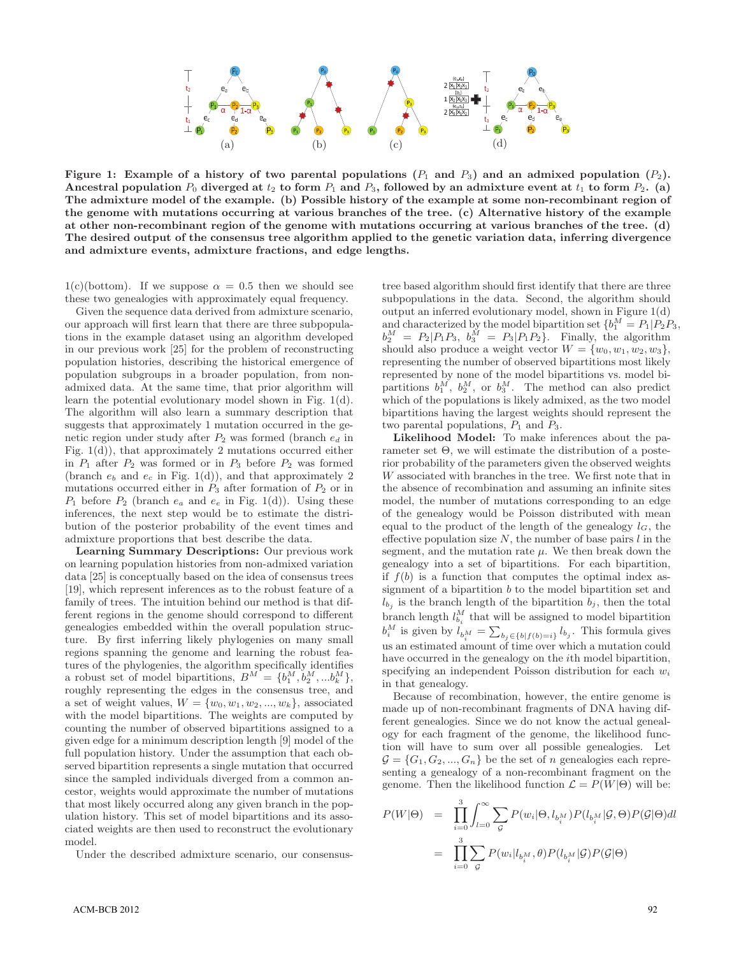

Figure 1: Example of a history of two parental populations  $(P_1$  and  $P_3$ ) and an admixed population  $(P_2)$ . Ancestral population  $P_0$  diverged at  $t_2$  to form  $P_1$  and  $P_3$ , followed by an admixture event at  $t_1$  to form  $P_2$ . (a) The admixture model of the example. (b) Possible history of the example at some non-recombinant region of the genome with mutations occurring at various branches of the tree. (c) Alternative history of the example at other non-recombinant region of the genome with mutations occurring at various branches of the tree. (d) The desired output of the consensus tree algorithm applied to the genetic variation data, inferring divergence and admixture events, admixture fractions, and edge lengths.

1(c)(bottom). If we suppose  $\alpha = 0.5$  then we should see these two genealogies with approximately equal frequency.

Given the sequence data derived from admixture scenario, our approach will first learn that there are three subpopulations in the example dataset using an algorithm developed in our previous work [25] for the problem of reconstructing population histories, describing the historical emergence of population subgroups in a broader population, from nonadmixed data. At the same time, that prior algorithm will learn the potential evolutionary model shown in Fig.  $1(d)$ . The algorithm will also learn a summary description that suggests that approximately 1 mutation occurred in the genetic region under study after  $P_2$  was formed (branch  $e_d$  in Fig.  $1(d)$ ), that approximately 2 mutations occurred either in  $P_1$  after  $P_2$  was formed or in  $P_3$  before  $P_2$  was formed (branch  $e_b$  and  $e_c$  in Fig. 1(d)), and that approximately 2 mutations occurred either in  $P_3$  after formation of  $P_2$  or in  $P_1$  before  $P_2$  (branch  $e_a$  and  $e_e$  in Fig. 1(d)). Using these inferences, the next step would be to estimate the distribution of the posterior probability of the event times and admixture proportions that best describe the data.

Learning Summary Descriptions: Our previous work on learning population histories from non-admixed variation data [25] is conceptually based on the idea of consensus trees [19], which represent inferences as to the robust feature of a family of trees. The intuition behind our method is that different regions in the genome should correspond to different genealogies embedded within the overall population structure. By first inferring likely phylogenies on many small regions spanning the genome and learning the robust features of the phylogenies, the algorithm specifically identifies a robust set of model bipartitions,  $B^M = \{b_1^M, b_2^M, ... b_k^M\},\$ roughly representing the edges in the consensus tree, and a set of weight values,  $W = \{w_0, w_1, w_2, ..., w_k\}$ , associated with the model bipartitions. The weights are computed by counting the number of observed bipartitions assigned to a given edge for a minimum description length [9] model of the full population history. Under the assumption that each observed bipartition represents a single mutation that occurred since the sampled individuals diverged from a common ancestor, weights would approximate the number of mutations that most likely occurred along any given branch in the population history. This set of model bipartitions and its associated weights are then used to reconstruct the evolutionary model.

Under the described admixture scenario, our consensus-

tree based algorithm should first identify that there are three subpopulations in the data. Second, the algorithm should output an inferred evolutionary model, shown in Figure  $1(d)$ and characterized by the model bipartition set  $\{b_1^M = P_1 | P_2 P_3,$  $b_2^M = P_2|P_1P_3, b_3^M = P_3|P_1P_2$ . Finally, the algorithm should also produce a weight vector  $W = \{w_0, w_1, w_2, w_3\},\$ representing the number of observed bipartitions most likely represented by none of the model bipartitions vs. model bipartitions  $b_1^M$ ,  $b_2^M$ , or  $b_3^M$ . The method can also predict<br>which of the populations is likely admixed, as the two model bipartitions having the largest weights should represent the two parental populations,  $P_1$  and  $P_3$ .

Likelihood Model: To make inferences about the parameter set  $\Theta$ , we will estimate the distribution of a posterior probability of the parameters given the observed weights  $W$  associated with branches in the tree. We first note that in the absence of recombination and assuming an infinite sites model, the number of mutations corresponding to an edge of the genealogy would be Poisson distributed with mean equal to the product of the length of the genealogy  $l_G$ , the effective population size  $N$ , the number of base pairs  $l$  in the segment, and the mutation rate  $\mu$ . We then break down the genealogy into a set of bipartitions. For each bipartition, if  $f(b)$  is a function that computes the optimal index assignment of a bipartition  $b$  to the model bipartition set and  $l_{b_j}$  is the branch length of the bipartition  $b_j$ , then the total branch length  $l^M_{b_i}$  that will be assigned to model bipartition  $b_i^M$  is given by  $l_{b_i^M} = \sum_{b_j \in \{b | f(b) = i\}} l_{b_j}$ . This formula gives us an estimated amount of time over which a mutation could have occurred in the genealogy on the *i*th model bipartition, specifying an independent Poisson distribution for each  $w_i$ in that genealogy.

Because of recombination, however, the entire genome is made up of non-recombinant fragments of DNA having different genealogies. Since we do not know the actual genealogy for each fragment of the genome, the likelihood function will have to sum over all possible genealogies. Let  $\mathcal{G} = \{G_1, G_2, ..., G_n\}$  be the set of n genealogies each representing a genealogy of a non-recombinant fragment on the genome. Then the likelihood function  $\mathcal{L} = P(W|\Theta)$  will be:

$$
P(W|\Theta) = \prod_{i=0}^{3} \int_{l=0}^{\infty} \sum_{\mathcal{G}} P(w_i|\Theta, l_{b_i^M}) P(l_{b_i^M}|\mathcal{G}, \Theta) P(\mathcal{G}|\Theta) dl
$$
  

$$
= \prod_{i=0}^{3} \sum_{\mathcal{G}} P(w_i|l_{b_i^M}, \theta) P(l_{b_i^M}|\mathcal{G}) P(\mathcal{G}|\Theta)
$$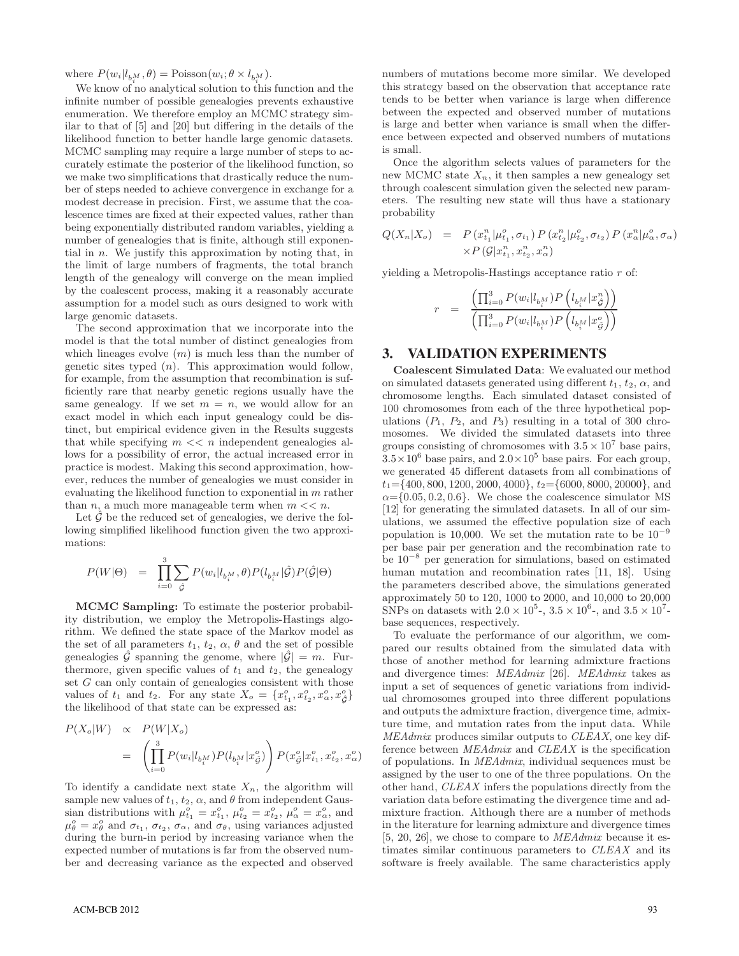where  $P(w_i|l_{b^M}, \theta) = \text{Poisson}(w_i; \theta \times l_{b^M}).$ 

We know of no analytical solution to this function and the infinite number of possible genealogies prevents exhaustive enumeration. We therefore employ an MCMC strategy similar to that of  $[5]$  and  $[20]$  but differing in the details of the likelihood function to better handle large genomic datasets. MCMC sampling may require a large number of steps to accurately estimate the posterior of the likelihood function, so we make two simplifications that drastically reduce the number of steps needed to achieve convergence in exchange for a modest decrease in precision. First, we assume that the coalescence times are fixed at their expected values, rather than being exponentially distributed random variables, yielding a number of genealogies that is finite, although still exponential in  $n$ . We justify this approximation by noting that, in the limit of large numbers of fragments, the total branch length of the genealogy will converge on the mean implied by the coalescent process, making it a reasonably accurate assumption for a model such as ours designed to work with large genomic datasets.

The second approximation that we incorporate into the model is that the total number of distinct genealogies from which lineages evolve  $(m)$  is much less than the number of genetic sites typed  $(n)$ . This approximation would follow, for example, from the assumption that recombination is sufficiently rare that nearby genetic regions usually have the same genealogy. If we set  $m = n$ , we would allow for an exact model in which each input genealogy could be distinct, but empirical evidence given in the Results suggests that while specifying  $m \ll n$  independent genealogies allows for a possibility of error, the actual increased error in practice is modest. Making this second approximation, however, reduces the number of genealogies we must consider in evaluating the likelihood function to exponential in  $m$  rather than *n*, a much more manageable term when  $m \ll n$ .

Let  $\hat{G}$  be the reduced set of genealogies, we derive the following simplified likelihood function given the two approximations:

$$
P(W|\Theta) = \prod_{i=0}^{3} \sum_{\hat{\mathcal{G}}} P(w_i | l_{b_i^M}, \theta) P(l_{b_i^M} | \hat{\mathcal{G}}) P(\hat{\mathcal{G}}|\Theta)
$$

MCMC Sampling: To estimate the posterior probability distribution, we employ the Metropolis-Hastings algorithm. We defined the state space of the Markov model as the set of all parameters  $t_1$ ,  $t_2$ ,  $\alpha$ ,  $\theta$  and the set of possible genealogies  $\hat{\mathcal{G}}$  spanning the genome, where  $|\hat{\mathcal{G}}| = m$ . Furthermore, given specific values of  $t_1$  and  $t_2$ , the genealogy set  $G$  can only contain of genealogies consistent with those values of  $t_1$  and  $t_2$ . For any state  $X_o = \{x_{t_1}^o, x_{t_2}^o, x_{\alpha}^o, x_{\beta}^o\}$ the likelihood of that state can be expressed as:

$$
P(X_o|W) \propto P(W|X_o)
$$
  
=  $\left(\prod_{i=0}^{3} P(w_i|l_{b_i^M}) P(l_{b_i^M}|x_g^o) \right) P(x_g^o|x_{t_1}^o, x_{t_2}^o, x_{\alpha}^o)$ 

To identify a candidate next state  $X_n$ , the algorithm will sample new values of  $t_1, t_2, \alpha$ , and  $\theta$  from independent Gaussian distributions with  $\mu_{t_1}^o = x_{t_1}^o$ ,  $\mu_{t_2}^o = x_{t_2}^o$ ,  $\mu_{\alpha}^o = x_{\alpha}^o$ , and  $\mu_{\theta}^{\circ} = x_{\theta}^{\circ}$  and  $\sigma_{t_1}, \sigma_{t_2}, \sigma_{\alpha}$ , and  $\sigma_{\theta}$ , using variances adjusted during the burn-in period by increasing variance when the expected number of mutations is far from the observed number and decreasing variance as the expected and observed numbers of mutations become more similar. We developed this strategy based on the observation that acceptance rate tends to be better when variance is large when difference between the expected and observed number of mutations is large and better when variance is small when the difference between expected and observed numbers of mutations is small

Once the algorithm selects values of parameters for the new MCMC state  $X_n$ , it then samples a new genealogy set through coalescent simulation given the selected new parameters. The resulting new state will thus have a stationary probability

$$
Q(X_n|X_o) = P(x_{t_1}^n|\mu_{t_1}^o, \sigma_{t_1}) P(x_{t_2}^n|\mu_{t_2}^o, \sigma_{t_2}) P(x_{\alpha}^n|\mu_{\alpha}^o, \sigma_{\alpha})
$$
  
 
$$
\times P(G|x_{t_1}^n, x_{t_2}^n, x_{\alpha}^n)
$$

yielding a Metropolis-Hastings acceptance ratio  $r$  of:

$$
r = \frac{\left(\prod_{i=0}^{3} P(w_i | l_{b_i^M}) P\left(l_{b_i^M} | x_{\hat{\mathcal{G}}}^n\right)\right)}{\left(\prod_{i=0}^{3} P(w_i | l_{b_i^M}) P\left(l_{b_i^M} | x_{\hat{\mathcal{G}}}^o\right)\right)}
$$

#### **VALIDATION EXPERIMENTS** 3.

Coalescent Simulated Data: We evaluated our method on simulated datasets generated using different  $t_1, t_2, \alpha$ , and chromosome lengths. Each simulated dataset consisted of 100 chromosomes from each of the three hypothetical populations  $(P_1, P_2, \text{ and } P_3)$  resulting in a total of 300 chromosomes. We divided the simulated datasets into three groups consisting of chromosomes with  $3.5 \times 10^7$  base pairs,  $3.5 \times 10^6$  base pairs, and  $2.0 \times 10^5$  base pairs. For each group, we generated 45 different datasets from all combinations of  $t_1 = \{400, 800, 1200, 2000, 4000\}, t_2 = \{6000, 8000, 20000\},$  and  $\alpha = \{0.05, 0.2, 0.6\}$ . We chose the coalescence simulator MS [12] for generating the simulated datasets. In all of our simulations, we assumed the effective population size of each population is 10,000. We set the mutation rate to be  $10^{-9}$ per base pair per generation and the recombination rate to be  $10^{-8}$  per generation for simulations, based on estimated human mutation and recombination rates [11, 18]. Using the parameters described above, the simulations generated approximately 50 to 120, 1000 to 2000, and 10,000 to 20,000 SNPs on datasets with  $2.0 \times 10^5$ -,  $3.5 \times 10^6$ -, and  $3.5 \times 10^7$ base sequences, respectively.

To evaluate the performance of our algorithm, we compared our results obtained from the simulated data with those of another method for learning admixture fractions and divergence times: MEAdmix [26]. MEAdmix takes as input a set of sequences of genetic variations from individual chromosomes grouped into three different populations and outputs the admixture fraction, divergence time, admixture time, and mutation rates from the input data. While  $MEAdmix$  produces similar outputs to  $CLEAX$ , one key difference between  $MEAdmix$  and  $CLEAX$  is the specification of populations. In  $MEAdmix$ , individual sequences must be assigned by the user to one of the three populations. On the other hand, *CLEAX* infers the populations directly from the variation data before estimating the divergence time and admixture fraction. Although there are a number of methods in the literature for learning admixture and divergence times [5, 20, 26], we chose to compare to  $MEAdmix$  because it estimates similar continuous parameters to CLEAX and its software is freely available. The same characteristics apply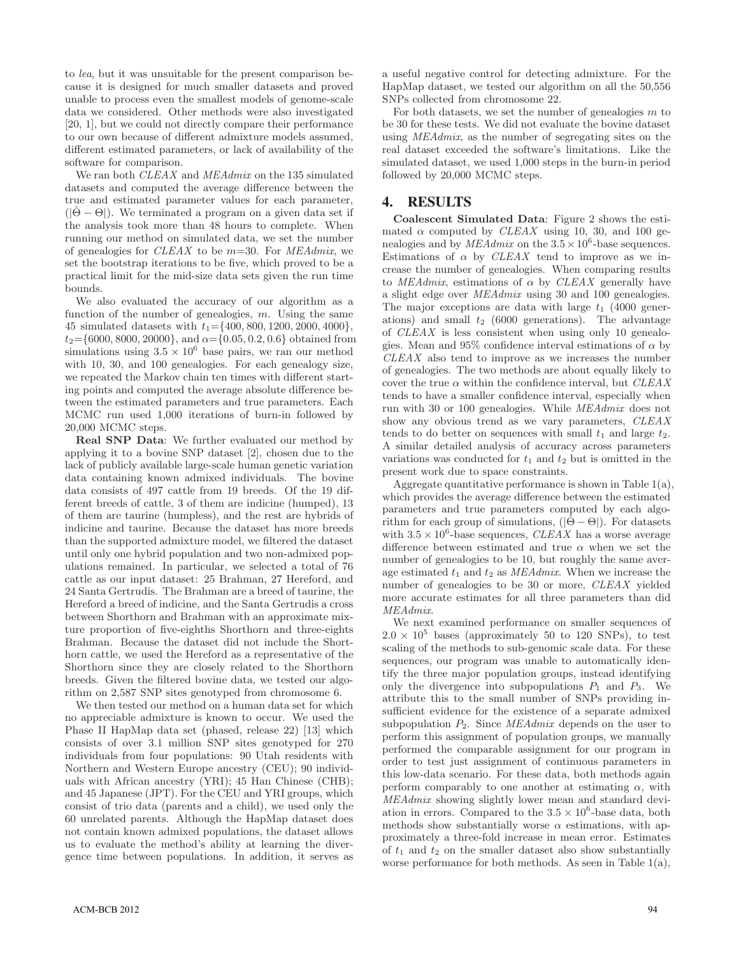to lea, but it was unsuitable for the present comparison because it is designed for much smaller datasets and proved unable to process even the smallest models of genome-scale data we considered. Other methods were also investigated [20, 1], but we could not directly compare their performance to our own because of different admixture models assumed. different estimated parameters, or lack of availability of the software for comparison.

We ran both *CLEAX* and *MEAdmix* on the 135 simulated datasets and computed the average difference between the true and estimated parameter values for each parameter,  $(|\hat{\Theta} - \Theta|)$ . We terminated a program on a given data set if the analysis took more than 48 hours to complete. When running our method on simulated data, we set the number of genealogies for *CLEAX* to be  $m=30$ . For *MEAdmix*, we set the bootstrap iterations to be five, which proved to be a practical limit for the mid-size data sets given the run time bounds.

We also evaluated the accuracy of our algorithm as a function of the number of genealogies,  $m$ . Using the same 45 simulated datasets with  $t_1 = \{400, 800, 1200, 2000, 4000\},\$  $t_2 = \{6000, 8000, 20000\}$ , and  $\alpha = \{0.05, 0.2, 0.6\}$  obtained from simulations using  $3.5 \times 10^6$  base pairs, we ran our method with 10, 30, and 100 genealogies. For each genealogy size, we repeated the Markov chain ten times with different starting points and computed the average absolute difference between the estimated parameters and true parameters. Each MCMC run used 1,000 iterations of burn-in followed by 20,000 MCMC steps.

Real SNP Data: We further evaluated our method by applying it to a bovine SNP dataset [2], chosen due to the lack of publicly available large-scale human genetic variation data containing known admixed individuals. The bovine data consists of 497 cattle from 19 breeds. Of the 19 different breeds of cattle, 3 of them are indicine (humped), 13 of them are taurine (humpless), and the rest are hybrids of indicine and taurine. Because the dataset has more breeds than the supported admixture model, we filtered the dataset until only one hybrid population and two non-admixed populations remained. In particular, we selected a total of 76 cattle as our input dataset: 25 Brahman, 27 Hereford, and 24 Santa Gertrudis. The Brahman are a breed of taurine, the Hereford a breed of indicine, and the Santa Gertrudis a cross between Shorthorn and Brahman with an approximate mixture proportion of five-eighths Shorthorn and three-eights Brahman. Because the dataset did not include the Shorthorn cattle, we used the Hereford as a representative of the Shorthorn since they are closely related to the Shorthorn breeds. Given the filtered bovine data, we tested our algorithm on 2,587 SNP sites genotyped from chromosome 6.

We then tested our method on a human data set for which no appreciable admixture is known to occur. We used the Phase II HapMap data set (phased, release 22) [13] which consists of over 3.1 million SNP sites genotyped for 270 individuals from four populations: 90 Utah residents with Northern and Western Europe ancestry (CEU); 90 individuals with African ancestry (YRI); 45 Han Chinese (CHB); and 45 Japanese (JPT). For the CEU and YRI groups, which consist of trio data (parents and a child), we used only the 60 unrelated parents. Although the HapMap dataset does not contain known admixed populations, the dataset allows us to evaluate the method's ability at learning the divergence time between populations. In addition, it serves as a useful negative control for detecting admixture. For the HapMap dataset, we tested our algorithm on all the 50,556 SNPs collected from chromosome 22.

For both datasets, we set the number of genealogies  $m$  to be 30 for these tests. We did not evaluate the bovine dataset using  $MEAdmix$ , as the number of segregating sites on the real dataset exceeded the software's limitations. Like the simulated dataset, we used 1,000 steps in the burn-in period followed by 20,000 MCMC steps.

#### **RESULTS** 4.

Coalescent Simulated Data: Figure 2 shows the estimated  $\alpha$  computed by *CLEAX* using 10, 30, and 100 genealogies and by *MEAdmix* on the  $3.5 \times 10^6$ -base sequences. Estimations of  $\alpha$  by *CLEAX* tend to improve as we increase the number of genealogies. When comparing results to *MEAdmix*, estimations of  $\alpha$  by *CLEAX* generally have a slight edge over  $MEAdmix$  using 30 and 100 genealogies. The major exceptions are data with large  $t_1$  (4000 generations) and small  $t_2$  (6000 generations). The advantage of  $CLEAX$  is less consistent when using only 10 genealogies. Mean and 95% confidence interval estimations of  $\alpha$  by  $CLEAX$  also tend to improve as we increases the number of genealogies. The two methods are about equally likely to cover the true  $\alpha$  within the confidence interval, but CLEAX tends to have a smaller confidence interval, especially when run with 30 or 100 genealogies. While MEAdmix does not show any obvious trend as we vary parameters. CLEAX tends to do better on sequences with small  $t_1$  and large  $t_2$ . A similar detailed analysis of accuracy across parameters variations was conducted for  $t_1$  and  $t_2$  but is omitted in the present work due to space constraints.

Aggregate quantitative performance is shown in Table  $1(a)$ , which provides the average difference between the estimated parameters and true parameters computed by each algorithm for each group of simulations,  $(|\Theta - \Theta|)$ . For datasets with  $3.5 \times 10^6$ -base sequences, *CLEAX* has a worse average difference between estimated and true  $\alpha$  when we set the number of genealogies to be 10, but roughly the same average estimated  $t_1$  and  $t_2$  as *MEAdmix*. When we increase the number of genealogies to be 30 or more, CLEAX yielded more accurate estimates for all three parameters than did MEAdmix.

We next examined performance on smaller sequences of  $2.0 \times 10^5$  bases (approximately 50 to 120 SNPs), to test scaling of the methods to sub-genomic scale data. For these sequences, our program was unable to automatically identify the three major population groups, instead identifying only the divergence into subpopulations  $P_1$  and  $P_3$ . We attribute this to the small number of SNPs providing insufficient evidence for the existence of a separate admixed subpopulation  $P_2$ . Since *MEAdmix* depends on the user to perform this assignment of population groups, we manually performed the comparable assignment for our program in order to test just assignment of continuous parameters in this low-data scenario. For these data, both methods again perform comparably to one another at estimating  $\alpha$ , with MEAdmix showing slightly lower mean and standard deviation in errors. Compared to the  $3.5 \times 10^6$ -base data, both methods show substantially worse  $\alpha$  estimations, with approximately a three-fold increase in mean error. Estimates of  $t_1$  and  $t_2$  on the smaller dataset also show substantially worse performance for both methods. As seen in Table  $1(a)$ ,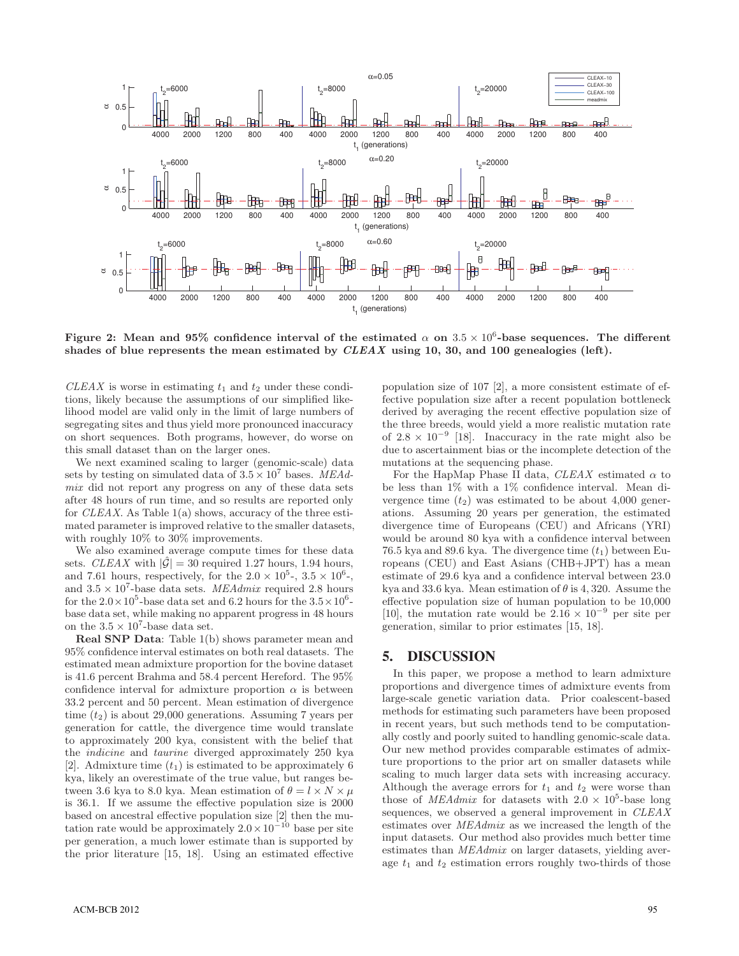

Figure 2: Mean and 95% confidence interval of the estimated  $\alpha$  on  $3.5 \times 10^6$ -base sequences. The different shades of blue represents the mean estimated by  $CLEAX$  using 10, 30, and 100 genealogies (left).

CLEAX is worse in estimating  $t_1$  and  $t_2$  under these conditions, likely because the assumptions of our simplified likelihood model are valid only in the limit of large numbers of segregating sites and thus yield more pronounced inaccuracy on short sequences. Both programs, however, do worse on this small dataset than on the larger ones.

We next examined scaling to larger (genomic-scale) data sets by testing on simulated data of  $3.5 \times 10^7$  bases. MEAd*mix* did not report any progress on any of these data sets after 48 hours of run time, and so results are reported only for CLEAX. As Table  $1(a)$  shows, accuracy of the three estimated parameter is improved relative to the smaller datasets, with roughly  $10\%$  to  $30\%$  improvements.

We also examined average compute times for these data sets. CLEAX with  $|\mathcal{G}| = 30$  required 1.27 hours, 1.94 hours, and 7.61 hours, respectively, for the  $2.0 \times 10^5$ ,  $3.5 \times 10^6$ , and  $3.5 \times 10^{7}$ -base data sets. *MEAdmix* required 2.8 hours for the  $2.0 \times 10^5$ -base data set and 6.2 hours for the  $3.5 \times 10^6$ base data set, while making no apparent progress in 48 hours on the  $3.5 \times 10^7$ -base data set.

**Real SNP Data:** Table 1(b) shows parameter mean and 95% confidence interval estimates on both real datasets. The estimated mean admixture proportion for the bovine dataset is 41.6 percent Brahma and 58.4 percent Hereford. The 95% confidence interval for admixture proportion  $\alpha$  is between 33.2 percent and 50 percent. Mean estimation of divergence time  $(t_2)$  is about 29,000 generations. Assuming 7 years per generation for cattle, the divergence time would translate to approximately 200 kya, consistent with the belief that the *indicine* and *taurine* diverged approximately 250 kya [2]. Admixture time  $(t_1)$  is estimated to be approximately 6 kya, likely an overestimate of the true value, but ranges between 3.6 kya to 8.0 kya. Mean estimation of  $\theta = l \times N \times \mu$ is 36.1. If we assume the effective population size is 2000 based on ancestral effective population size [2] then the mutation rate would be approximately  $2.0 \times 10^{-10}$  base per site per generation, a much lower estimate than is supported by the prior literature [15, 18]. Using an estimated effective

population size of  $107$  [2], a more consistent estimate of effective population size after a recent population bottleneck derived by averaging the recent effective population size of the three breeds, would yield a more realistic mutation rate of  $2.8 \times 10^{-9}$  [18]. Inaccuracy in the rate might also be due to ascertainment bias or the incomplete detection of the mutations at the sequencing phase.

For the HapMap Phase II data, CLEAX estimated  $\alpha$  to be less than  $1\%$  with a  $1\%$  confidence interval. Mean divergence time  $(t_2)$  was estimated to be about 4,000 generations. Assuming 20 years per generation, the estimated divergence time of Europeans (CEU) and Africans (YRI) would be around 80 kya with a confidence interval between 76.5 kya and 89.6 kya. The divergence time  $(t_1)$  between Europeans (CEU) and East Asians (CHB+JPT) has a mean estimate of 29.6 kya and a confidence interval between 23.0 kya and 33.6 kya. Mean estimation of  $\theta$  is 4, 320. Assume the effective population size of human population to be 10,000 [10], the mutation rate would be  $2.16 \times 10^{-9}$  per site per generation, similar to prior estimates [15, 18].

#### **DISCUSSION** 5.

In this paper, we propose a method to learn admixture proportions and divergence times of admixture events from large-scale genetic variation data. Prior coalescent-based methods for estimating such parameters have been proposed in recent years, but such methods tend to be computationally costly and poorly suited to handling genomic-scale data. Our new method provides comparable estimates of admixture proportions to the prior art on smaller datasets while scaling to much larger data sets with increasing accuracy. Although the average errors for  $t_1$  and  $t_2$  were worse than those of *MEAdmix* for datasets with  $2.0 \times 10^5$ -base long sequences, we observed a general improvement in CLEAX estimates over *MEAdmix* as we increased the length of the input datasets. Our method also provides much better time estimates than MEAdmix on larger datasets, yielding average  $t_1$  and  $t_2$  estimation errors roughly two-thirds of those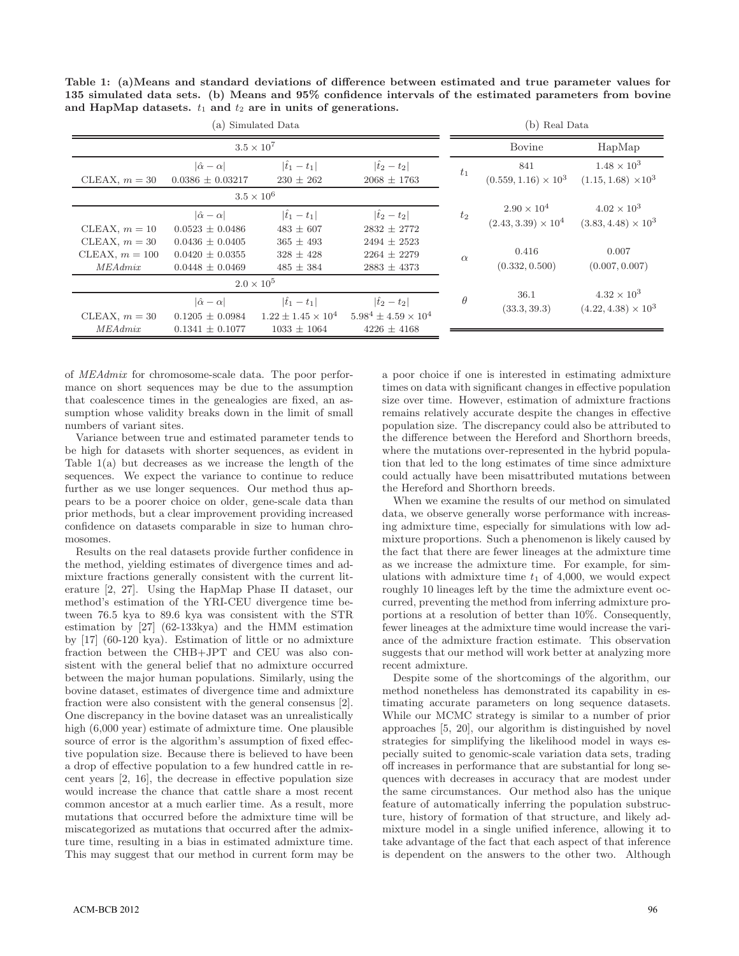Table 1: (a)Means and standard deviations of difference between estimated and true parameter values for 135 simulated data sets. (b) Means and 95% confidence intervals of the estimated parameters from bovine and HapMap datasets.  $t_1$  and  $t_2$  are in units of generations.

| (a) Simulated Data                                                |                                                                   |                                                                             |                                                          | (b) Real Data |                                                    |                                                    |
|-------------------------------------------------------------------|-------------------------------------------------------------------|-----------------------------------------------------------------------------|----------------------------------------------------------|---------------|----------------------------------------------------|----------------------------------------------------|
| $3.5 \times 10^7$                                                 |                                                                   |                                                                             |                                                          |               | Bovine                                             | HapMap                                             |
| CLEAX, $m = 30$                                                   | $ \hat{\alpha} - \alpha $<br>$0.0386 \pm 0.03217$                 | $ \hat{t}_1 - t_1 $<br>$230 \pm 262$                                        | $ \hat{t}_2 - t_2 $<br>$2068 \pm 1763$                   | $t_1$         | 841<br>$(0.559, 1.16) \times 10^3$                 | $1.48 \times 10^{3}$<br>$(1.15, 1.68) \times 10^3$ |
|                                                                   | $ \hat{\alpha} - \alpha $<br>$0.0523 \pm 0.0486$                  | $3.5 \times 10^6$<br>$ \hat{t}_1 - t_1 $<br>$483 \pm 607$                   | $ \hat{t}_2 - t_2 $<br>$2832 \pm 2772$                   | $t_2$         | $2.90 \times 10^{4}$<br>$(2.43, 3.39) \times 10^4$ | $4.02 \times 10^{3}$<br>$(3.83, 4.48) \times 10^3$ |
| CLEAX, $m = 10$<br>CLEAX, $m = 30$<br>CLEAX, $m = 100$<br>MEAdmix | $0.0436 \pm 0.0405$<br>$0.0420 \pm 0.0355$<br>$0.0448 \pm 0.0469$ | $365 \pm 493$<br>$328 \pm 428$<br>$485 \pm 384$                             | $2494 \pm 2523$<br>$2264 \pm 2279$<br>$2883 \pm 4373$    | $\alpha$      | 0.416<br>(0.332, 0.500)                            | 0.007<br>(0.007, 0.007)                            |
| CLEAX, $m = 30$                                                   | $ \hat{\alpha} - \alpha $<br>$0.1205 \pm 0.0984$                  | $2.0 \times 10^{5}$<br>$ \hat{t}_1 - t_1 $<br>$1.22 \pm 1.45 \times 10^{4}$ | $ \hat{t}_2 - t_2 $<br>$5.98^{4} \pm 4.59 \times 10^{4}$ | $\theta$      | 36.1<br>(33.3, 39.3)                               | $4.32 \times 10^{3}$<br>$(4.22, 4.38) \times 10^3$ |
| MEAdmix                                                           | $0.1341 \pm 0.1077$                                               | $1033 \pm 1064$                                                             | $4226 \pm 4168$                                          |               |                                                    |                                                    |

of *MEAdmix* for chromosome-scale data. The poor performance on short sequences may be due to the assumption that coalescence times in the genealogies are fixed, an assumption whose validity breaks down in the limit of small numbers of variant sites.

Variance between true and estimated parameter tends to be high for datasets with shorter sequences, as evident in Table  $1(a)$  but decreases as we increase the length of the sequences. We expect the variance to continue to reduce further as we use longer sequences. Our method thus appears to be a poorer choice on older, gene-scale data than prior methods, but a clear improvement providing increased confidence on datasets comparable in size to human chromosomes.

Results on the real datasets provide further confidence in the method, yielding estimates of divergence times and admixture fractions generally consistent with the current literature  $[2, 27]$ . Using the HapMap Phase II dataset, our method's estimation of the YRI-CEU divergence time between 76.5 kya to 89.6 kya was consistent with the STR estimation by  $[27]$  (62-133kya) and the HMM estimation by  $[17]$  (60-120 kya). Estimation of little or no admixture fraction between the CHB+JPT and CEU was also consistent with the general belief that no admixture occurred between the major human populations. Similarly, using the bovine dataset, estimates of divergence time and admixture fraction were also consistent with the general consensus [2]. One discrepancy in the bovine dataset was an unrealistically high (6,000 year) estimate of admixture time. One plausible source of error is the algorithm's assumption of fixed effective population size. Because there is believed to have been a drop of effective population to a few hundred cattle in recent years  $[2, 16]$ , the decrease in effective population size would increase the chance that cattle share a most recent common ancestor at a much earlier time. As a result, more mutations that occurred before the admixture time will be miscategorized as mutations that occurred after the admixture time, resulting in a bias in estimated admixture time. This may suggest that our method in current form may be

a poor choice if one is interested in estimating admixture times on data with significant changes in effective population size over time. However, estimation of admixture fractions remains relatively accurate despite the changes in effective population size. The discrepancy could also be attributed to the difference between the Hereford and Shorthorn breeds, where the mutations over-represented in the hybrid population that led to the long estimates of time since admixture could actually have been misattributed mutations between the Hereford and Shorthorn breeds.

When we examine the results of our method on simulated data, we observe generally worse performance with increasing admixture time, especially for simulations with low admixture proportions. Such a phenomenon is likely caused by the fact that there are fewer lineages at the admixture time as we increase the admixture time. For example, for simulations with admixture time  $t_1$  of 4,000, we would expect roughly 10 lineages left by the time the admixture event occurred, preventing the method from inferring admixture proportions at a resolution of better than 10%. Consequently, fewer lineages at the admixture time would increase the variance of the admixture fraction estimate. This observation suggests that our method will work better at analyzing more recent admixture.

Despite some of the shortcomings of the algorithm, our method nonetheless has demonstrated its capability in estimating accurate parameters on long sequence datasets. While our MCMC strategy is similar to a number of prior approaches  $[5, 20]$ , our algorithm is distinguished by novel strategies for simplifying the likelihood model in ways especially suited to genomic-scale variation data sets, trading off increases in performance that are substantial for long sequences with decreases in accuracy that are modest under the same circumstances. Our method also has the unique feature of automatically inferring the population substructure, history of formation of that structure, and likely admixture model in a single unified inference, allowing it to take advantage of the fact that each aspect of that inference is dependent on the answers to the other two. Although